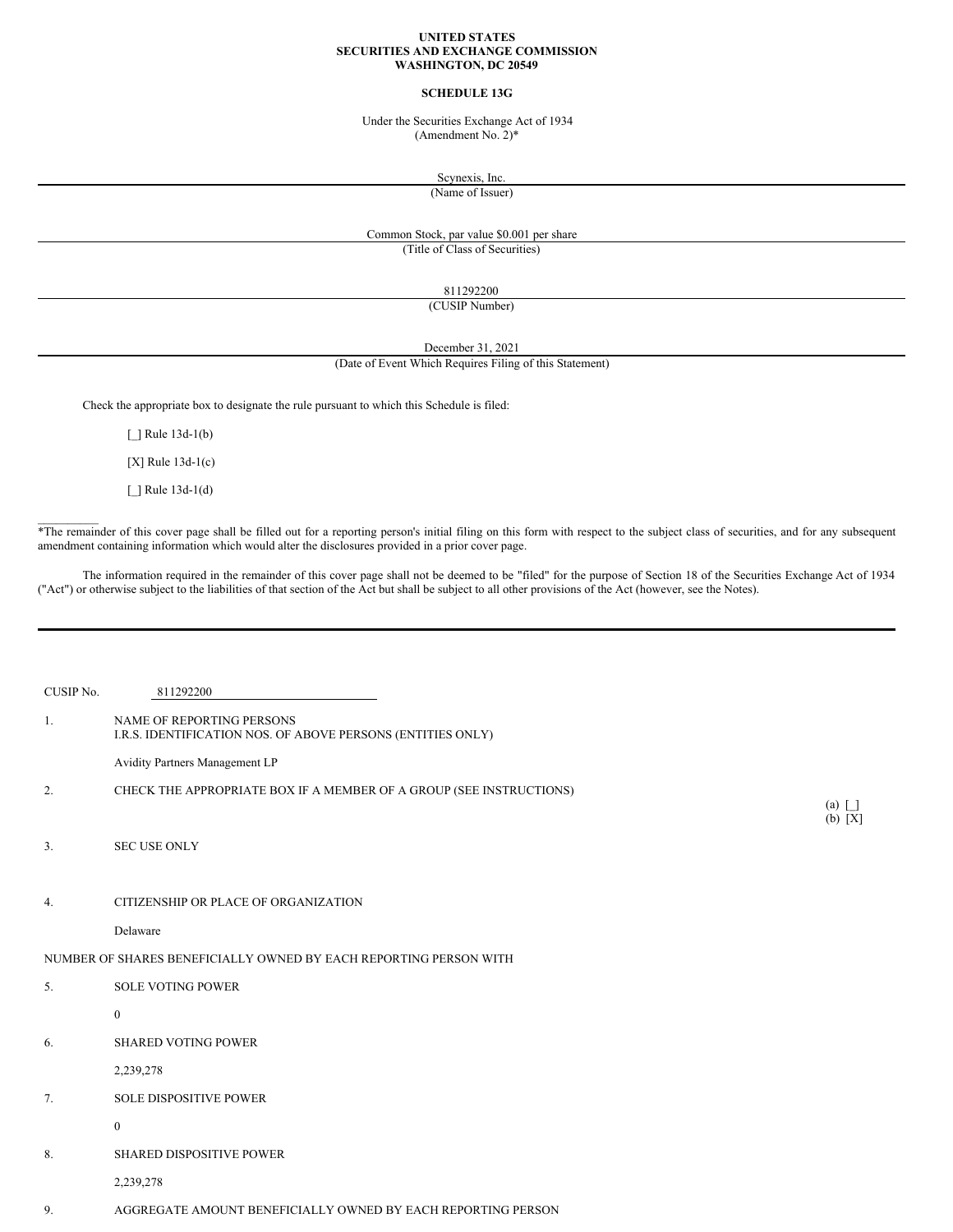## **UNITED STATES SECURITIES AND EXCHANGE COMMISSION WASHINGTON, DC 20549**

## **SCHEDULE 13G**

Under the Securities Exchange Act of 1934 (Amendment No. 2)\*

Scynexis, Inc.

(Name of Issuer)

## Common Stock, par value \$0.001 per share (Title of Class of Securities)

811292200

(CUSIP Number)

December 31, 2021

# (Date of Event Which Requires Filing of this Statement)

Check the appropriate box to designate the rule pursuant to which this Schedule is filed:

[ ] Rule 13d-1(b)

[X] Rule 13d-1(c)

[\_] Rule 13d-1(d)

 $\mathcal{L}=\mathcal{L}$ 

\*The remainder of this cover page shall be filled out for a reporting person's initial filing on this form with respect to the subject class of securities, and for any subsequent amendment containing information which would alter the disclosures provided in a prior cover page.

The information required in the remainder of this cover page shall not be deemed to be "filed" for the purpose of Section 18 of the Securities Exchange Act of 1934 ("Act") or otherwise subject to the liabilities of that section of the Act but shall be subject to all other provisions of the Act (however, see the Notes).

| CUSIP No. | 811292200                                                                                |                                      |
|-----------|------------------------------------------------------------------------------------------|--------------------------------------|
| 1.        | NAME OF REPORTING PERSONS<br>I.R.S. IDENTIFICATION NOS. OF ABOVE PERSONS (ENTITIES ONLY) |                                      |
|           | Avidity Partners Management LP                                                           |                                      |
| 2.        | CHECK THE APPROPRIATE BOX IF A MEMBER OF A GROUP (SEE INSTRUCTIONS)                      |                                      |
|           |                                                                                          | $(a) \lceil \cdot \rceil$<br>(b) [X] |
| 3.        | <b>SEC USE ONLY</b>                                                                      |                                      |
|           |                                                                                          |                                      |
| 4.        | CITIZENSHIP OR PLACE OF ORGANIZATION                                                     |                                      |
|           | Delaware                                                                                 |                                      |
|           | NUMBER OF SHARES BENEFICIALLY OWNED BY EACH REPORTING PERSON WITH                        |                                      |
| 5.        | <b>SOLE VOTING POWER</b>                                                                 |                                      |
|           | $\bf{0}$                                                                                 |                                      |
| 6.        | <b>SHARED VOTING POWER</b>                                                               |                                      |
|           | 2,239,278                                                                                |                                      |
| 7.        | SOLE DISPOSITIVE POWER                                                                   |                                      |
|           | $\bf{0}$                                                                                 |                                      |
| 8.        | SHARED DISPOSITIVE POWER                                                                 |                                      |
|           | 2,239,278                                                                                |                                      |
| 9.        | AGGREGATE AMOUNT BENEFICIALLY OWNED BY EACH REPORTING PERSON                             |                                      |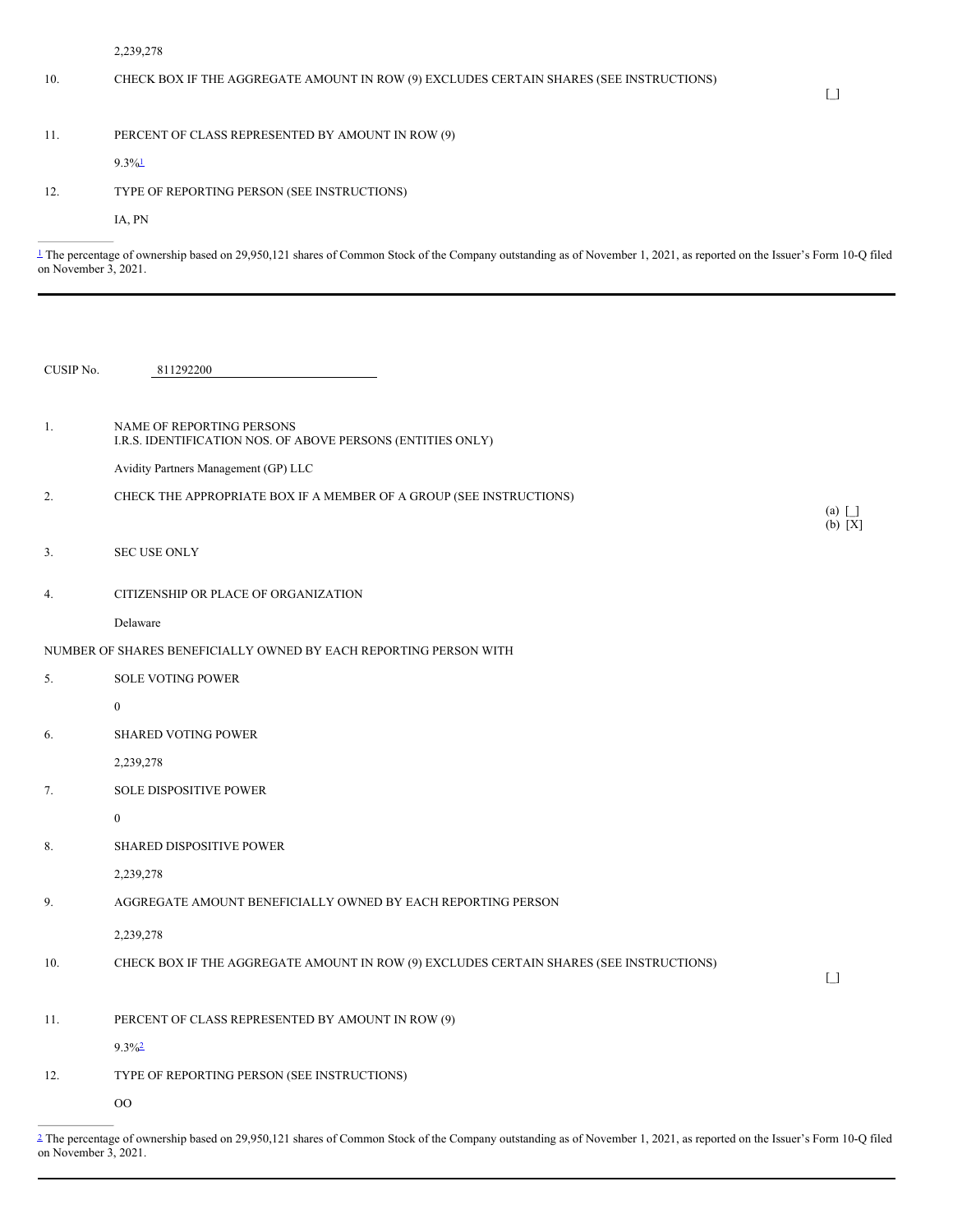2,239,278

# 10. CHECK BOX IF THE AGGREGATE AMOUNT IN ROW (9) EXCLUDES CERTAIN SHARES (SEE INSTRUCTIONS)

# 11. PERCENT OF CLASS REPRESENTED BY AMOUNT IN ROW (9)

<span id="page-1-1"></span> $9.3\%$ <sup>[1](#page-1-0)</sup>

# 12. TYPE OF REPORTING PERSON (SEE INSTRUCTIONS)

IA, PN

<span id="page-1-0"></span>[1](#page-1-1) The percentage of ownership based on 29,950,121 shares of Common Stock of the Company outstanding as of November 1, 2021, as reported on the Issuer's Form 10-Q filed on November 3, 2021.

| CUSIP No. | 811292200                                                                                |                                        |
|-----------|------------------------------------------------------------------------------------------|----------------------------------------|
|           |                                                                                          |                                        |
| 1.        | NAME OF REPORTING PERSONS<br>I.R.S. IDENTIFICATION NOS. OF ABOVE PERSONS (ENTITIES ONLY) |                                        |
|           | Avidity Partners Management (GP) LLC                                                     |                                        |
| 2.        | CHECK THE APPROPRIATE BOX IF A MEMBER OF A GROUP (SEE INSTRUCTIONS)                      |                                        |
|           |                                                                                          | $(a)$ $\Box$<br>$(b) [X]$              |
| 3.        | <b>SEC USE ONLY</b>                                                                      |                                        |
|           |                                                                                          |                                        |
| 4.        | CITIZENSHIP OR PLACE OF ORGANIZATION                                                     |                                        |
|           | Delaware                                                                                 |                                        |
|           | NUMBER OF SHARES BENEFICIALLY OWNED BY EACH REPORTING PERSON WITH                        |                                        |
| 5.        | <b>SOLE VOTING POWER</b>                                                                 |                                        |
|           | $\boldsymbol{0}$                                                                         |                                        |
| 6.        | <b>SHARED VOTING POWER</b>                                                               |                                        |
|           | 2,239,278                                                                                |                                        |
| 7.        | SOLE DISPOSITIVE POWER                                                                   |                                        |
|           | $\bf{0}$                                                                                 |                                        |
| 8.        | SHARED DISPOSITIVE POWER                                                                 |                                        |
|           | 2,239,278                                                                                |                                        |
| 9.        | AGGREGATE AMOUNT BENEFICIALLY OWNED BY EACH REPORTING PERSON                             |                                        |
|           | 2,239,278                                                                                |                                        |
| 10.       | CHECK BOX IF THE AGGREGATE AMOUNT IN ROW (9) EXCLUDES CERTAIN SHARES (SEE INSTRUCTIONS)  | $\begin{bmatrix} 1 \\ 1 \end{bmatrix}$ |
|           |                                                                                          |                                        |
| 11.       | PERCENT OF CLASS REPRESENTED BY AMOUNT IN ROW (9)                                        |                                        |
|           | $9.3\%2$                                                                                 |                                        |
| 12.       | TYPE OF REPORTING PERSON (SEE INSTRUCTIONS)                                              |                                        |
|           | $_{\rm OO}$                                                                              |                                        |
|           |                                                                                          |                                        |

<span id="page-1-3"></span><span id="page-1-2"></span>[2](#page-1-3) The percentage of ownership based on 29,950,121 shares of Common Stock of the Company outstanding as of November 1, 2021, as reported on the Issuer's Form 10-Q filed on November 3, 2021.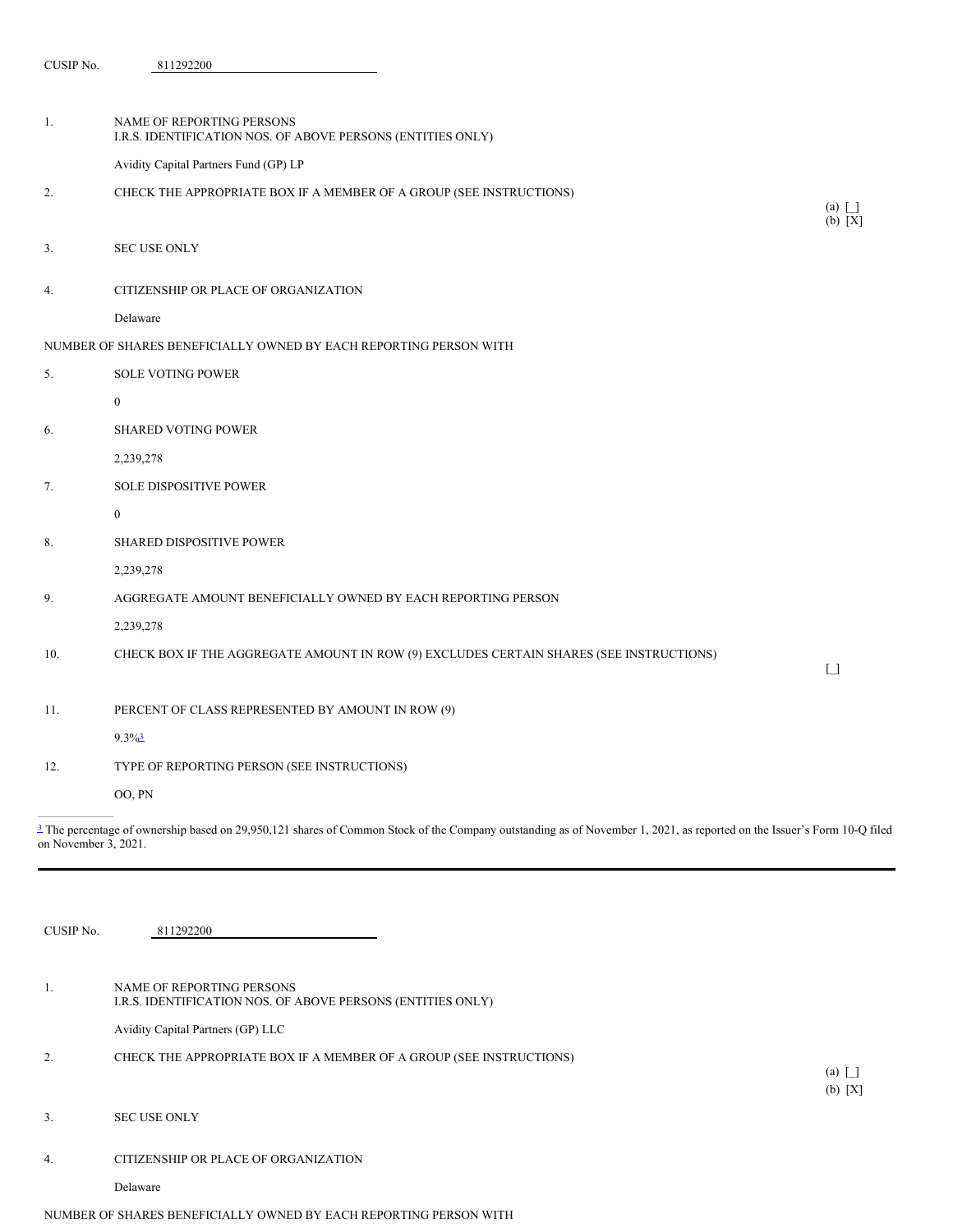CUSIP No. 811292200

| 1.  | NAME OF REPORTING PERSONS<br>I.R.S. IDENTIFICATION NOS. OF ABOVE PERSONS (ENTITIES ONLY) |                                        |
|-----|------------------------------------------------------------------------------------------|----------------------------------------|
|     | Avidity Capital Partners Fund (GP) LP                                                    |                                        |
| 2.  | CHECK THE APPROPRIATE BOX IF A MEMBER OF A GROUP (SEE INSTRUCTIONS)                      | (a) $\boxed{\phantom{1}}$              |
|     |                                                                                          | (b) [X]                                |
| 3.  | <b>SEC USE ONLY</b>                                                                      |                                        |
| 4.  | CITIZENSHIP OR PLACE OF ORGANIZATION                                                     |                                        |
|     | Delaware                                                                                 |                                        |
|     | NUMBER OF SHARES BENEFICIALLY OWNED BY EACH REPORTING PERSON WITH                        |                                        |
| 5.  | <b>SOLE VOTING POWER</b>                                                                 |                                        |
|     | $\mathbf{0}$                                                                             |                                        |
| 6.  | <b>SHARED VOTING POWER</b>                                                               |                                        |
|     | 2,239,278                                                                                |                                        |
| 7.  | SOLE DISPOSITIVE POWER                                                                   |                                        |
|     | $\mathbf{0}$                                                                             |                                        |
| 8.  | SHARED DISPOSITIVE POWER                                                                 |                                        |
|     | 2,239,278                                                                                |                                        |
| 9.  | AGGREGATE AMOUNT BENEFICIALLY OWNED BY EACH REPORTING PERSON                             |                                        |
|     | 2,239,278                                                                                |                                        |
| 10. | CHECK BOX IF THE AGGREGATE AMOUNT IN ROW (9) EXCLUDES CERTAIN SHARES (SEE INSTRUCTIONS)  | $\begin{bmatrix} 1 \\ 1 \end{bmatrix}$ |
|     |                                                                                          |                                        |
| 11. | PERCENT OF CLASS REPRESENTED BY AMOUNT IN ROW (9)                                        |                                        |
|     | $9.3\%$ <sup>3</sup>                                                                     |                                        |
| 12. | TYPE OF REPORTING PERSON (SEE INSTRUCTIONS)                                              |                                        |
|     | OO, PN                                                                                   |                                        |
|     |                                                                                          |                                        |

<span id="page-2-1"></span><span id="page-2-0"></span> $\frac{3}{2}$  $\frac{3}{2}$  $\frac{3}{2}$  The percentage of ownership based on 29,950,121 shares of Common Stock of the Company outstanding as of November 1, 2021, as reported on the Issuer's Form 10-Q filed on November 3, 2021.

| CUSIP No. | 811292200                                                                                |                       |
|-----------|------------------------------------------------------------------------------------------|-----------------------|
|           |                                                                                          |                       |
|           | NAME OF REPORTING PERSONS<br>I.R.S. IDENTIFICATION NOS. OF ABOVE PERSONS (ENTITIES ONLY) |                       |
|           | Avidity Capital Partners (GP) LLC                                                        |                       |
| 2.        | CHECK THE APPROPRIATE BOX IF A MEMBER OF A GROUP (SEE INSTRUCTIONS)                      |                       |
|           |                                                                                          | $(a) \mid$<br>(b) [X] |
| 3.        | <b>SEC USE ONLY</b>                                                                      |                       |
| 4.        | CITIZENSHIP OR PLACE OF ORGANIZATION                                                     |                       |
|           | Delaware                                                                                 |                       |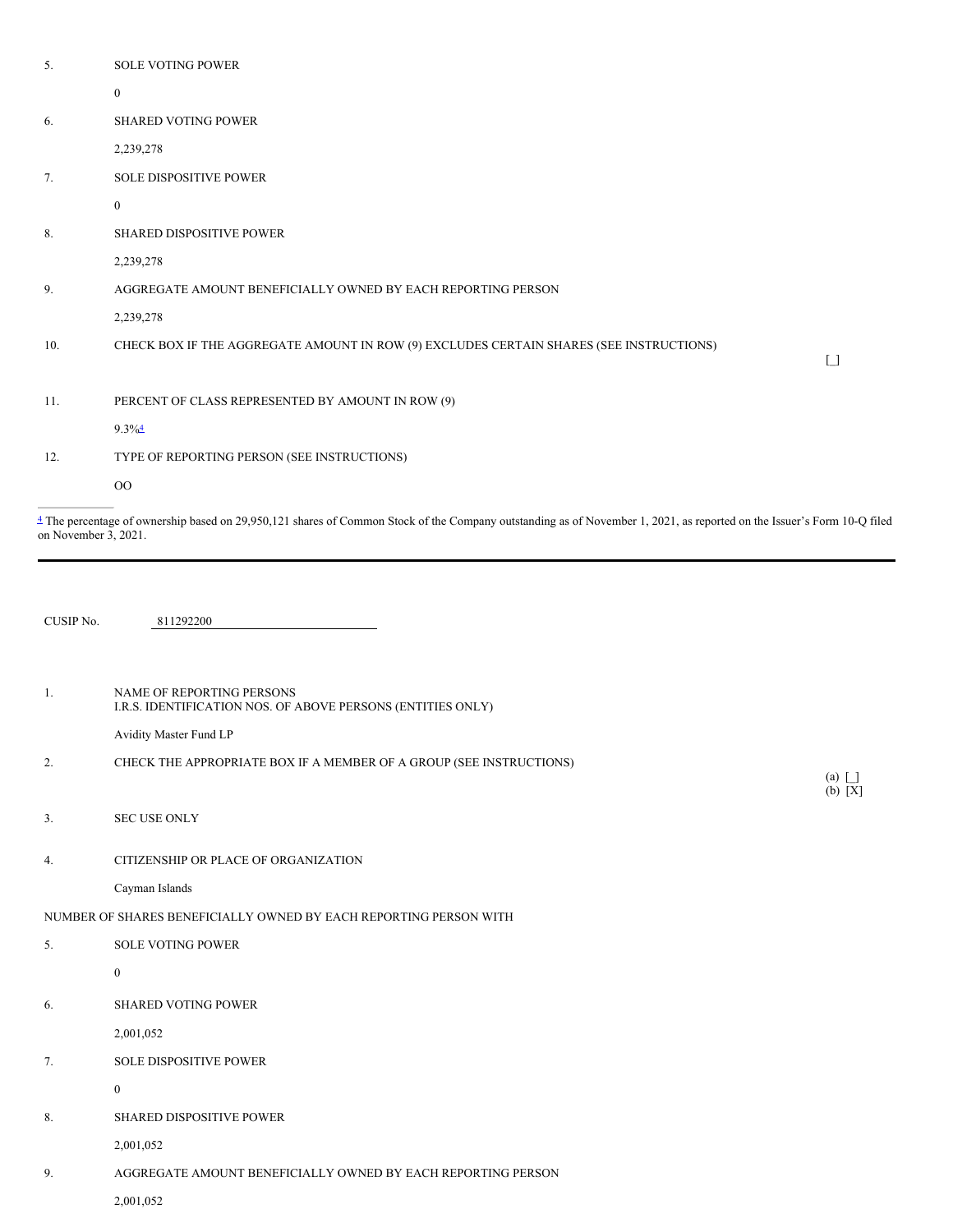<span id="page-3-1"></span><span id="page-3-0"></span>

| 5.        | SOLE VOTING POWER                                                                        |                                        |
|-----------|------------------------------------------------------------------------------------------|----------------------------------------|
|           | $\bf{0}$                                                                                 |                                        |
| 6.        | SHARED VOTING POWER                                                                      |                                        |
|           | 2,239,278                                                                                |                                        |
| 7.        | SOLE DISPOSITIVE POWER                                                                   |                                        |
|           | $\bf{0}$                                                                                 |                                        |
| 8.        | SHARED DISPOSITIVE POWER                                                                 |                                        |
|           | 2,239,278                                                                                |                                        |
| 9.        | AGGREGATE AMOUNT BENEFICIALLY OWNED BY EACH REPORTING PERSON                             |                                        |
|           | 2,239,278                                                                                |                                        |
| 10.       | CHECK BOX IF THE AGGREGATE AMOUNT IN ROW (9) EXCLUDES CERTAIN SHARES (SEE INSTRUCTIONS)  | $\begin{array}{c} \square \end{array}$ |
| 11.       | PERCENT OF CLASS REPRESENTED BY AMOUNT IN ROW (9)                                        |                                        |
|           | $9.3\%$ <sup>4</sup>                                                                     |                                        |
| 12.       | TYPE OF REPORTING PERSON (SEE INSTRUCTIONS)                                              |                                        |
|           | $_{\rm OO}$                                                                              |                                        |
| CUSIP No. | 811292200                                                                                |                                        |
| -1.       | NAME OF REPORTING PERSONS<br>I.R.S. IDENTIFICATION NOS. OF ABOVE PERSONS (ENTITIES ONLY) |                                        |
|           | Avidity Master Fund LP                                                                   |                                        |
| 2.        | CHECK THE APPROPRIATE BOX IF A MEMBER OF A GROUP (SEE INSTRUCTIONS)                      | $(a)$ $\Box$                           |
| 3.        | SEC USE ONLY                                                                             | (b) [X]                                |
| 4.        | CITIZENSHIP OR PLACE OF ORGANIZATION                                                     |                                        |
|           | Cayman Islands                                                                           |                                        |
|           | NUMBER OF SHARES BENEFICIALLY OWNED BY EACH REPORTING PERSON WITH                        |                                        |
| 5.        | SOLE VOTING POWER                                                                        |                                        |
|           | $\boldsymbol{0}$                                                                         |                                        |
| 6.        | SHARED VOTING POWER                                                                      |                                        |
|           | 2,001,052                                                                                |                                        |
| 7.        | SOLE DISPOSITIVE POWER                                                                   |                                        |
|           | $\bf{0}$                                                                                 |                                        |
| 8.        | SHARED DISPOSITIVE POWER                                                                 |                                        |
|           |                                                                                          |                                        |

9. AGGREGATE AMOUNT BENEFICIALLY OWNED BY EACH REPORTING PERSON

2,001,052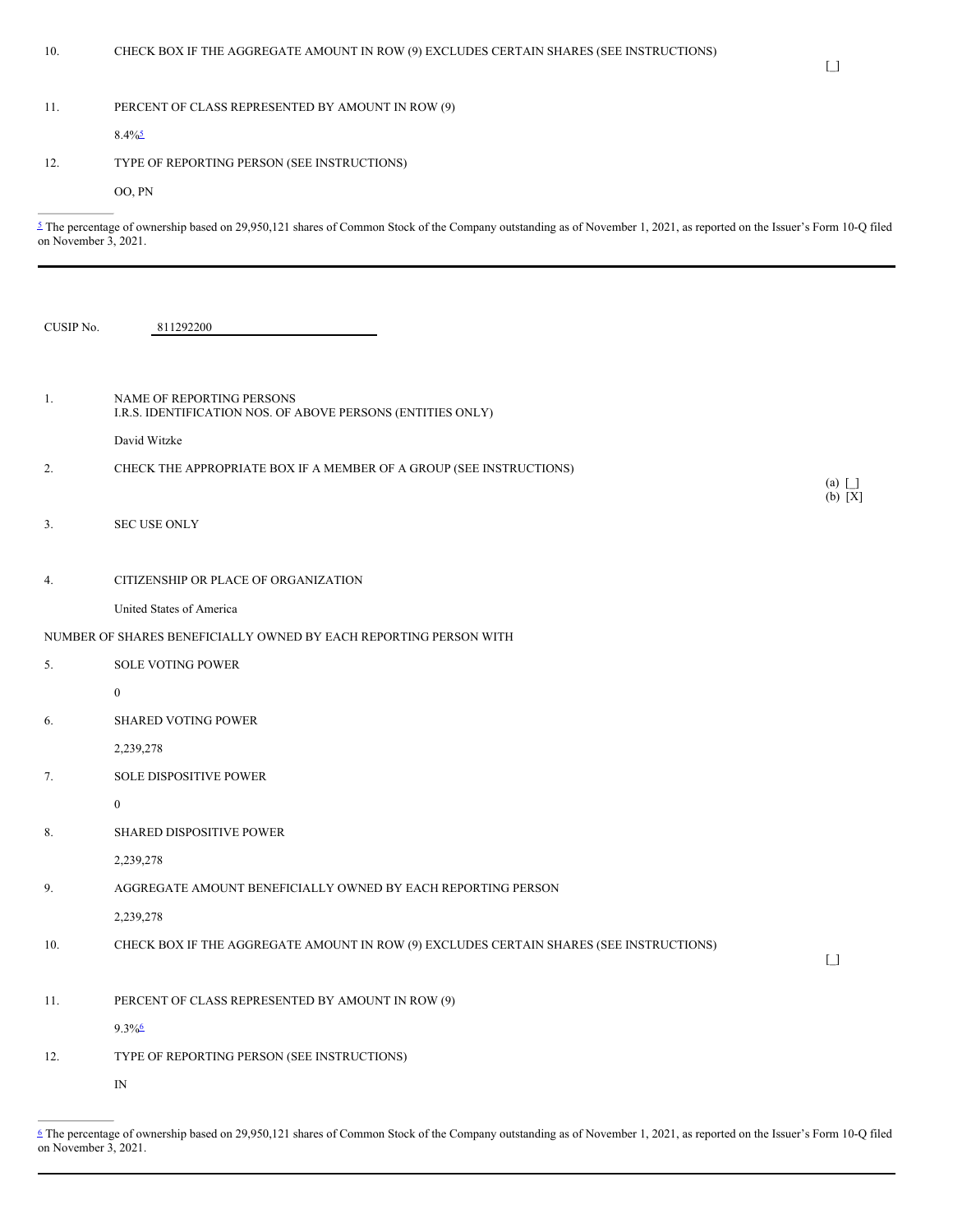# 11. PERCENT OF CLASS REPRESENTED BY AMOUNT IN ROW (9)

<span id="page-4-1"></span> $8.4\frac{6}{5}$  $8.4\frac{6}{5}$  $8.4\frac{6}{5}$ 

# 12. TYPE OF REPORTING PERSON (SEE INSTRUCTIONS)

OO, PN

<span id="page-4-0"></span>[5](#page-4-1) The percentage of ownership based on 29,950,121 shares of Common Stock of the Company outstanding as of November 1, 2021, as reported on the Issuer's Form 10-Q filed on November 3, 2021.

| CUSIP No. | 811292200                                                                                |                                        |
|-----------|------------------------------------------------------------------------------------------|----------------------------------------|
| 1.        | NAME OF REPORTING PERSONS<br>I.R.S. IDENTIFICATION NOS. OF ABOVE PERSONS (ENTITIES ONLY) |                                        |
|           | David Witzke                                                                             |                                        |
| 2.        | CHECK THE APPROPRIATE BOX IF A MEMBER OF A GROUP (SEE INSTRUCTIONS)                      | $(a)$ $\Box$<br>$(b) [X]$              |
| 3.        | <b>SEC USE ONLY</b>                                                                      |                                        |
| 4.        | CITIZENSHIP OR PLACE OF ORGANIZATION                                                     |                                        |
|           | United States of America                                                                 |                                        |
|           | NUMBER OF SHARES BENEFICIALLY OWNED BY EACH REPORTING PERSON WITH                        |                                        |
| 5.        | <b>SOLE VOTING POWER</b>                                                                 |                                        |
|           | $\mathbf{0}$                                                                             |                                        |
| 6.        | SHARED VOTING POWER                                                                      |                                        |
|           | 2,239,278                                                                                |                                        |
| 7.        | SOLE DISPOSITIVE POWER                                                                   |                                        |
|           | $\boldsymbol{0}$                                                                         |                                        |
| 8.        | SHARED DISPOSITIVE POWER                                                                 |                                        |
|           | 2,239,278                                                                                |                                        |
| 9.        | AGGREGATE AMOUNT BENEFICIALLY OWNED BY EACH REPORTING PERSON                             |                                        |
|           | 2,239,278                                                                                |                                        |
| 10.       | CHECK BOX IF THE AGGREGATE AMOUNT IN ROW (9) EXCLUDES CERTAIN SHARES (SEE INSTRUCTIONS)  | $\begin{bmatrix} 1 \\ 1 \end{bmatrix}$ |
|           |                                                                                          |                                        |
| 11.       | PERCENT OF CLASS REPRESENTED BY AMOUNT IN ROW (9)                                        |                                        |
|           | $9.3\%$                                                                                  |                                        |
| 12.       | TYPE OF REPORTING PERSON (SEE INSTRUCTIONS)                                              |                                        |
|           | $\mathbb{N}$                                                                             |                                        |

<span id="page-4-3"></span><span id="page-4-2"></span>[<sup>6</sup>](#page-4-3) The percentage of ownership based on 29,950,121 shares of Common Stock of the Company outstanding as of November 1, 2021, as reported on the Issuer's Form 10-Q filed on November 3, 2021.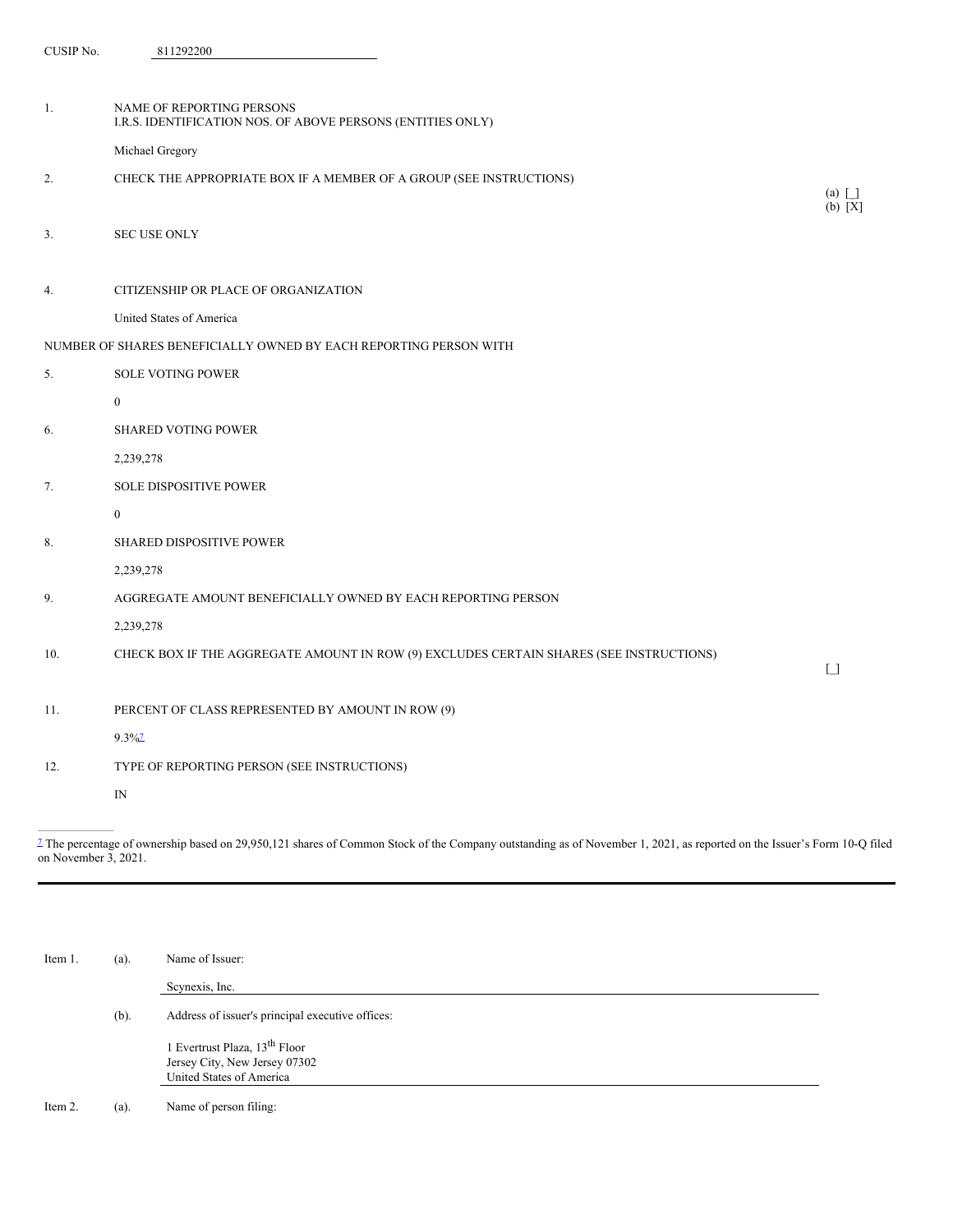| CUSIP No. | 811292200 |
|-----------|-----------|
|-----------|-----------|

| 1.  | NAME OF REPORTING PERSONS<br>I.R.S. IDENTIFICATION NOS. OF ABOVE PERSONS (ENTITIES ONLY) |                         |
|-----|------------------------------------------------------------------------------------------|-------------------------|
|     | Michael Gregory                                                                          |                         |
| 2.  | CHECK THE APPROPRIATE BOX IF A MEMBER OF A GROUP (SEE INSTRUCTIONS)                      |                         |
| 3.  | <b>SEC USE ONLY</b>                                                                      | $(a)$ $\Box$<br>(b) [X] |
| 4.  | CITIZENSHIP OR PLACE OF ORGANIZATION                                                     |                         |
|     | United States of America                                                                 |                         |
|     | NUMBER OF SHARES BENEFICIALLY OWNED BY EACH REPORTING PERSON WITH                        |                         |
| 5.  | <b>SOLE VOTING POWER</b>                                                                 |                         |
|     | $\boldsymbol{0}$                                                                         |                         |
| 6.  | <b>SHARED VOTING POWER</b>                                                               |                         |
|     | 2,239,278                                                                                |                         |
| 7.  | <b>SOLE DISPOSITIVE POWER</b>                                                            |                         |
|     | $\mathbf{0}$                                                                             |                         |
| 8.  | SHARED DISPOSITIVE POWER                                                                 |                         |
|     | 2,239,278                                                                                |                         |
| 9.  | AGGREGATE AMOUNT BENEFICIALLY OWNED BY EACH REPORTING PERSON                             |                         |
|     | 2,239,278                                                                                |                         |
| 10. | CHECK BOX IF THE AGGREGATE AMOUNT IN ROW (9) EXCLUDES CERTAIN SHARES (SEE INSTRUCTIONS)  |                         |
|     |                                                                                          | $\Box$                  |
| 11. | PERCENT OF CLASS REPRESENTED BY AMOUNT IN ROW (9)                                        |                         |
|     | $9.3\%$ <sup>7</sup>                                                                     |                         |
| 12. | TYPE OF REPORTING PERSON (SEE INSTRUCTIONS)                                              |                         |
|     | IN                                                                                       |                         |
|     |                                                                                          |                         |

<span id="page-5-1"></span><span id="page-5-0"></span> $\frac{1}{2}$  The percentage of ownership based on 29,950,121 shares of Common Stock of the Company outstanding as of November 1, 2021, as reported on the Issuer's Form 10-Q filed on November 3, 2021.

| Item 1. | (a).    | Name of Issuer:                                  |
|---------|---------|--------------------------------------------------|
|         |         | Scynexis, Inc.                                   |
|         | $(b)$ . | Address of issuer's principal executive offices: |
|         |         | 1 Evertrust Plaza, 13 <sup>th</sup> Floor        |
|         |         | Jersey City, New Jersey 07302                    |
|         |         | United States of America                         |
|         |         |                                                  |

Item 2. (a). Name of person filing: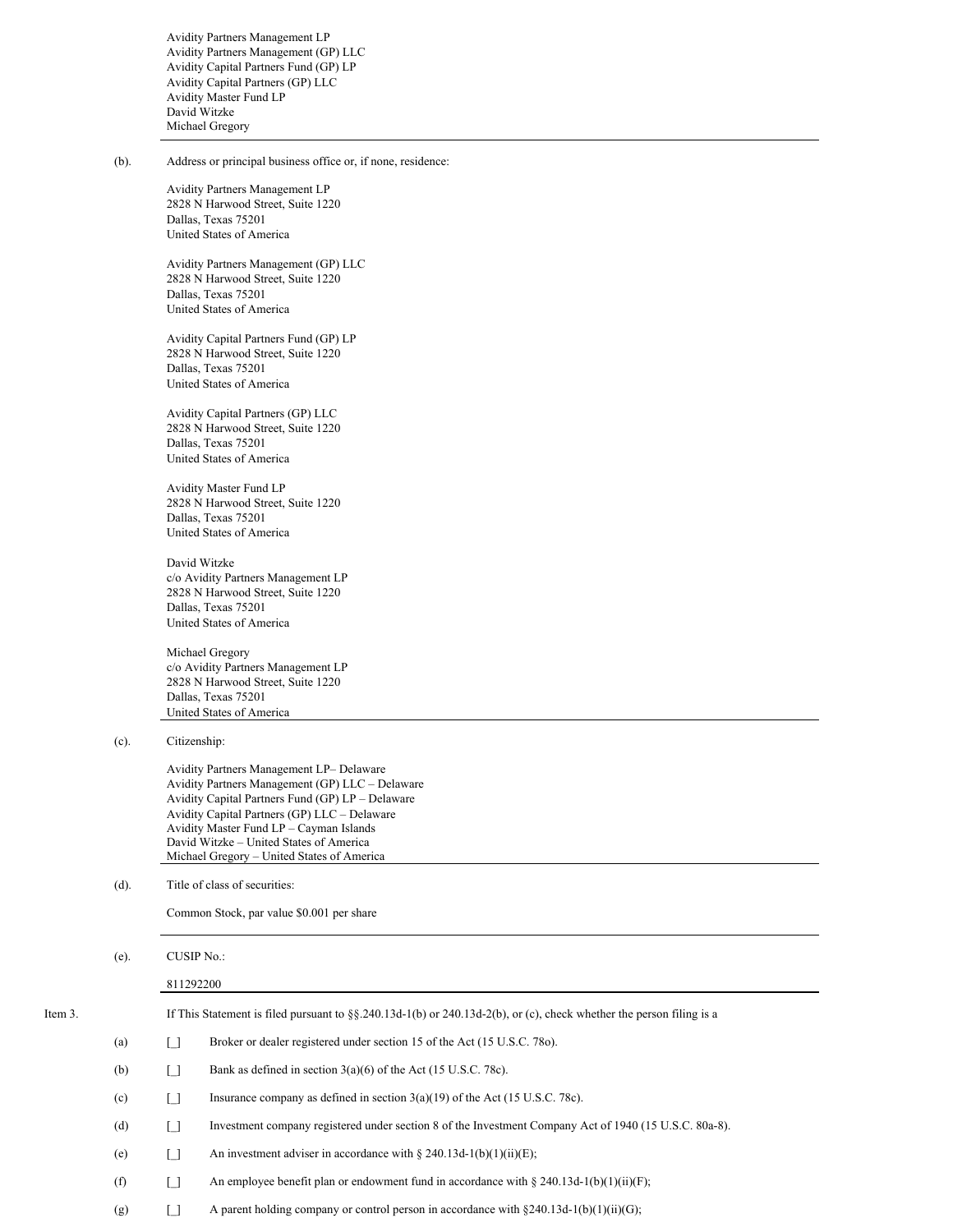Avidity Partners Management LP Avidity Partners Management (GP) LLC Avidity Capital Partners Fund (GP) LP Avidity Capital Partners (GP) LLC Avidity Master Fund LP David Witzke Michael Gregory

(b). Address or principal business office or, if none, residence:

Avidity Partners Management LP 2828 N Harwood Street, Suite 1220 Dallas, Texas 75201 United States of America

Avidity Partners Management (GP) LLC 2828 N Harwood Street, Suite 1220 Dallas, Texas 75201 United States of America

Avidity Capital Partners Fund (GP) LP 2828 N Harwood Street, Suite 1220 Dallas, Texas 75201 United States of America

Avidity Capital Partners (GP) LLC 2828 N Harwood Street, Suite 1220 Dallas, Texas 75201 United States of America

Avidity Master Fund LP 2828 N Harwood Street, Suite 1220 Dallas, Texas 75201 United States of America

David Witzke c/o Avidity Partners Management LP 2828 N Harwood Street, Suite 1220 Dallas, Texas 75201 United States of America

Michael Gregory c/o Avidity Partners Management LP 2828 N Harwood Street, Suite 1220 Dallas, Texas 75201 United States of America

(c). Citizenship:

Avidity Partners Management LP– Delaware Avidity Partners Management (GP) LLC – Delaware Avidity Capital Partners Fund (GP) LP – Delaware Avidity Capital Partners (GP) LLC – Delaware Avidity Master Fund LP – Cayman Islands David Witzke – United States of America Michael Gregory – United States of America

(d). Title of class of securities:

Common Stock, par value \$0.001 per share

(e). CUSIP No.:

811292200 Item 3. If This Statement is filed pursuant to §§.240.13d-1(b) or 240.13d-2(b), or (c), check whether the person filing is a (a) [] Broker or dealer registered under section 15 of the Act (15 U.S.C. 78o). (b)  $\Box$  Bank as defined in section 3(a)(6) of the Act (15 U.S.C. 78c). (c)  $\boxed{\ }$  Insurance company as defined in section 3(a)(19) of the Act (15 U.S.C. 78c). (d) [\_] Investment company registered under section 8 of the Investment Company Act of 1940 (15 U.S.C. 80a-8). (e)  $\boxed{\ }$  An investment adviser in accordance with § 240.13d-1(b)(1)(ii)(E); (f)  $\Box$  An employee benefit plan or endowment fund in accordance with § 240.13d-1(b)(1)(ii)(F); (g)  $\begin{bmatrix} \end{bmatrix}$  A parent holding company or control person in accordance with §240.13d-1(b)(1)(ii)(G);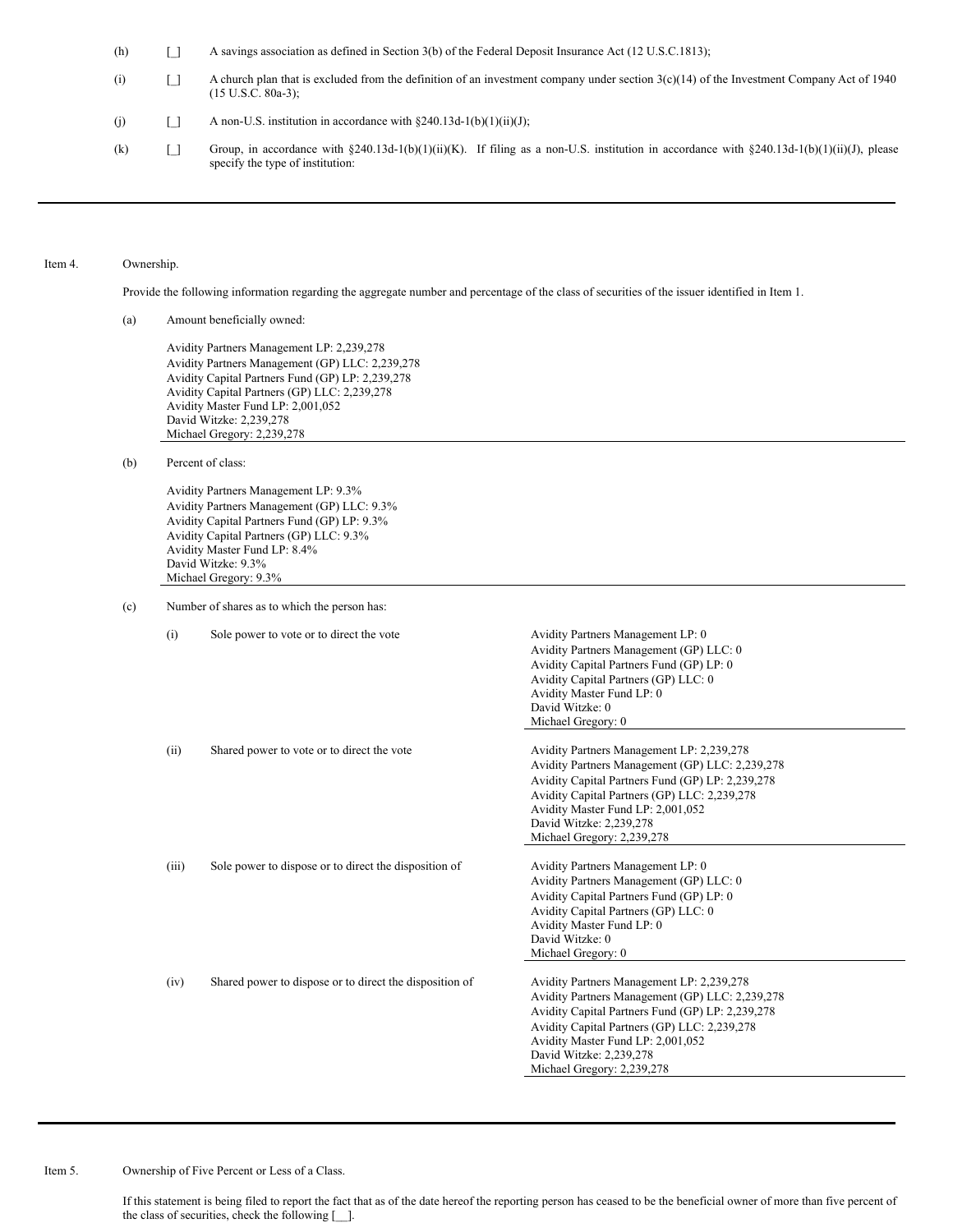(h) [\_] A savings association as defined in Section 3(b) of the Federal Deposit Insurance Act (12 U.S.C.1813);

- (i)  $\Box$  A church plan that is excluded from the definition of an investment company under section 3(c)(14) of the Investment Company Act of 1940 (15 U.S.C. 80a-3); (j)  $\Box$  A non-U.S. institution in accordance with §240.13d-1(b)(1)(ii)(J);
- (k) [1] Group, in accordance with §240.13d-1(b)(1)(ii)(K). If filing as a non-U.S. institution in accordance with §240.13d-1(b)(1)(ii)(J), please specify the type of institution:

#### Item 4. Ownership.

Provide the following information regarding the aggregate number and percentage of the class of securities of the issuer identified in Item 1.

(a) Amount beneficially owned:

Avidity Partners Management LP: 2,239,278 Avidity Partners Management (GP) LLC: 2,239,278 Avidity Capital Partners Fund (GP) LP: 2,239,278 Avidity Capital Partners (GP) LLC: 2,239,278 Avidity Master Fund LP: 2,001,052 David Witzke: 2,239,278 Michael Gregory: 2,239,278

(b) Percent of class:

Avidity Partners Management LP: 9.3% Avidity Partners Management (GP) LLC: 9.3% Avidity Capital Partners Fund (GP) LP: 9.3% Avidity Capital Partners (GP) LLC: 9.3% Avidity Master Fund LP: 8.4% David Witzke: 9.3% Michael Gregory: 9.3%

(c) Number of shares as to which the person has:

(i) Sole power to vote or to direct the vote Avidity Partners Management LP: 0 Avidity Partners Management (GP) LLC: 0 Avidity Capital Partners Fund (GP) LP: 0 Avidity Capital Partners (GP) LLC: 0 Avidity Master Fund LP: 0 David Witzke: 0 Michael Gregory: 0 (ii) Shared power to vote or to direct the vote Avidity Partners Management LP: 2,239,278 Avidity Partners Management (GP) LLC: 2,239,278 Avidity Capital Partners Fund (GP) LP: 2,239,278 Avidity Capital Partners (GP) LLC: 2,239,278 Avidity Master Fund LP: 2,001,052 David Witzke: 2,239,278 Michael Gregory: 2,239,278 (iii) Sole power to dispose or to direct the disposition of Avidity Partners Management LP: 0 Avidity Partners Management (GP) LLC: 0 Avidity Capital Partners Fund (GP) LP: 0 Avidity Capital Partners (GP) LLC: 0 Avidity Master Fund LP: 0 David Witzke: 0 Michael Gregory: 0 (iv) Shared power to dispose or to direct the disposition of Avidity Partners Management LP: 2,239,278 Avidity Partners Management (GP) LLC: 2,239,278 Avidity Capital Partners Fund (GP) LP: 2,239,278 Avidity Capital Partners (GP) LLC: 2,239,278 Avidity Master Fund LP: 2,001,052 David Witzke: 2,239,278 Michael Gregory: 2,239,278

## Item 5. Ownership of Five Percent or Less of a Class.

If this statement is being filed to report the fact that as of the date hereof the reporting person has ceased to be the beneficial owner of more than five percent of the class of securities, check the following [\_\_].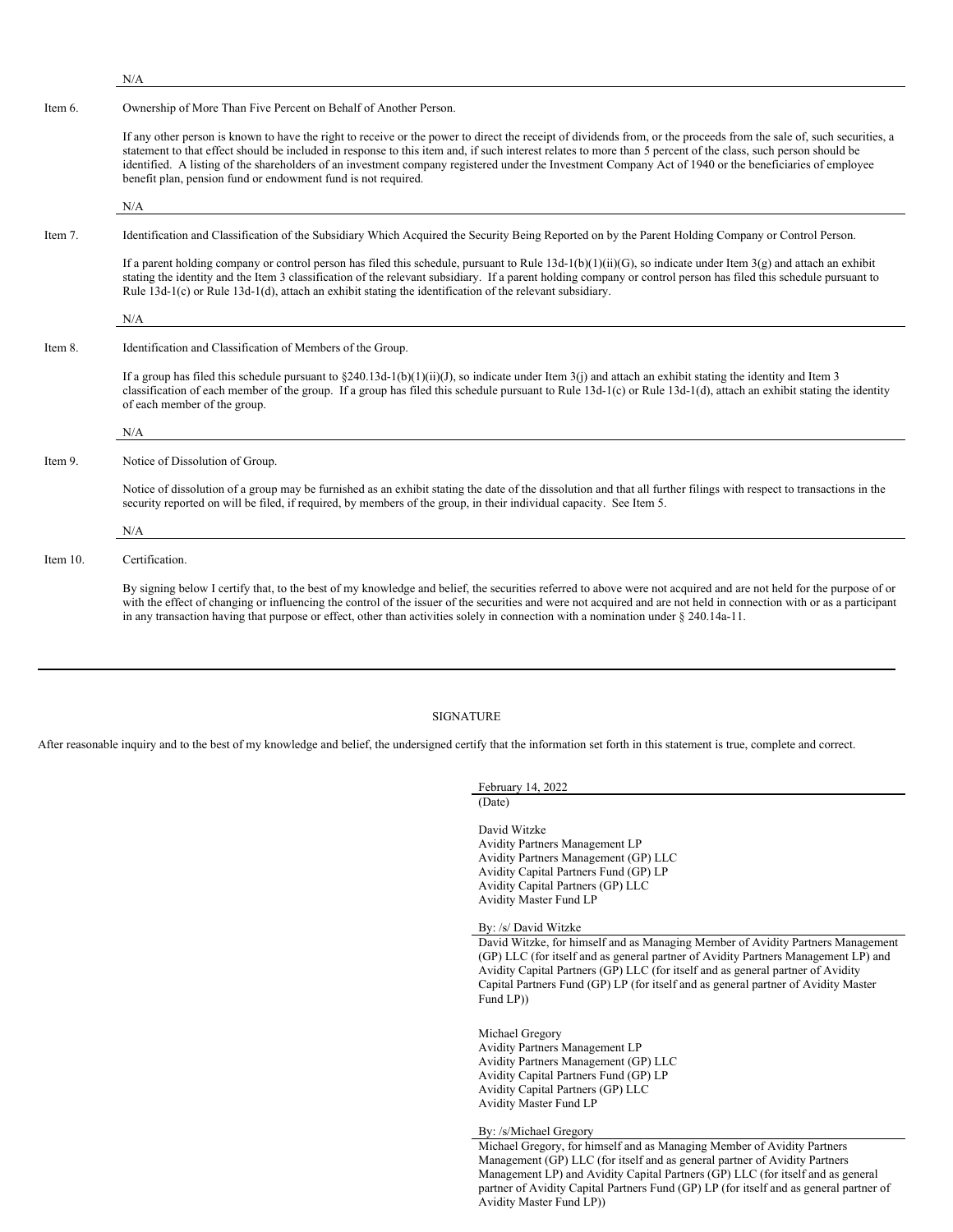N/A

#### Item 6. Ownership of More Than Five Percent on Behalf of Another Person.

If any other person is known to have the right to receive or the power to direct the receipt of dividends from, or the proceeds from the sale of, such securities, a statement to that effect should be included in response to this item and, if such interest relates to more than 5 percent of the class, such person should be identified. A listing of the shareholders of an investment company registered under the Investment Company Act of 1940 or the beneficiaries of employee benefit plan, pension fund or endowment fund is not required.

N/A

#### Item 7. Identification and Classification of the Subsidiary Which Acquired the Security Being Reported on by the Parent Holding Company or Control Person.

If a parent holding company or control person has filed this schedule, pursuant to Rule 13d-1(b)(1)(ii)(G), so indicate under Item 3(g) and attach an exhibit stating the identity and the Item 3 classification of the relevant subsidiary. If a parent holding company or control person has filed this schedule pursuant to Rule 13d-1(c) or Rule 13d-1(d), attach an exhibit stating the identification of the relevant subsidiary.

N/A

## Item 8. Identification and Classification of Members of the Group.

If a group has filed this schedule pursuant to  $\S240.13d-1(b)(1)(ii)(J)$ , so indicate under Item 3(j) and attach an exhibit stating the identity and Item 3 classification of each member of the group. If a group has filed this schedule pursuant to Rule 13d-1(c) or Rule 13d-1(d), attach an exhibit stating the identity of each member of the group.

### N/A

Item 9. Notice of Dissolution of Group.

Notice of dissolution of a group may be furnished as an exhibit stating the date of the dissolution and that all further filings with respect to transactions in the security reported on will be filed, if required, by members of the group, in their individual capacity. See Item 5.

#### N/A

#### Item 10. Certification.

By signing below I certify that, to the best of my knowledge and belief, the securities referred to above were not acquired and are not held for the purpose of or with the effect of changing or influencing the control of the issuer of the securities and were not acquired and are not held in connection with or as a participant in any transaction having that purpose or effect, other than activities solely in connection with a nomination under § 240.14a-11.

#### SIGNATURE

After reasonable inquiry and to the best of my knowledge and belief, the undersigned certify that the information set forth in this statement is true, complete and correct.

February 14, 2022 (Date)

David Witzke Avidity Partners Management LP Avidity Partners Management (GP) LLC Avidity Capital Partners Fund (GP) LP Avidity Capital Partners (GP) LLC Avidity Master Fund LP

By: /s/ David Witzke

David Witzke, for himself and as Managing Member of Avidity Partners Management (GP) LLC (for itself and as general partner of Avidity Partners Management LP) and Avidity Capital Partners (GP) LLC (for itself and as general partner of Avidity Capital Partners Fund (GP) LP (for itself and as general partner of Avidity Master Fund LP))

Michael Gregory Avidity Partners Management LP Avidity Partners Management (GP) LLC Avidity Capital Partners Fund (GP) LP Avidity Capital Partners (GP) LLC Avidity Master Fund LP

By: /s/Michael Gregory

Michael Gregory, for himself and as Managing Member of Avidity Partners Management (GP) LLC (for itself and as general partner of Avidity Partners Management LP) and Avidity Capital Partners (GP) LLC (for itself and as general partner of Avidity Capital Partners Fund (GP) LP (for itself and as general partner of Avidity Master Fund LP))